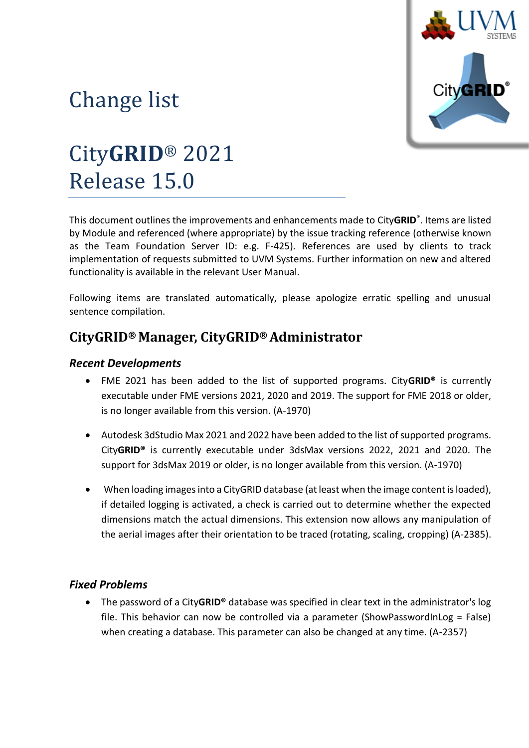

# Change list

# City**GRID**® 2021 Release 15.0

This document outlines the improvements and enhancements made to City**GRID**® . Items are listed by Module and referenced (where appropriate) by the issue tracking reference (otherwise known as the Team Foundation Server ID: e.g. F-425). References are used by clients to track implementation of requests submitted to UVM Systems. Further information on new and altered functionality is available in the relevant User Manual.

Following items are translated automatically, please apologize erratic spelling and unusual sentence compilation.

## **CityGRID® Manager, CityGRID® Administrator**

#### *Recent Developments*

- FME 2021 has been added to the list of supported programs. City**GRID®** is currently executable under FME versions 2021, 2020 and 2019. The support for FME 2018 or older, is no longer available from this version. (A-1970)
- Autodesk 3dStudio Max 2021 and 2022 have been added to the list of supported programs. City**GRID®** is currently executable under 3dsMax versions 2022, 2021 and 2020. The support for 3dsMax 2019 or older, is no longer available from this version. (A-1970)
- When loading images into a CityGRID database (at least when the image content is loaded), if detailed logging is activated, a check is carried out to determine whether the expected dimensions match the actual dimensions. This extension now allows any manipulation of the aerial images after their orientation to be traced (rotating, scaling, cropping) (A-2385).

#### *Fixed Problems*

• The password of a City**GRID®** database was specified in clear text in the administrator's log file. This behavior can now be controlled via a parameter (ShowPasswordInLog = False) when creating a database. This parameter can also be changed at any time. (A-2357)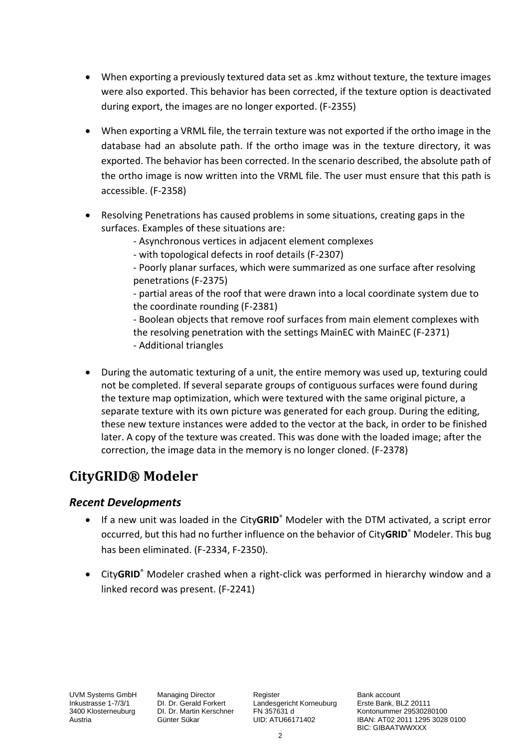- When exporting a previously textured data set as .kmz without texture, the texture images were also exported. This behavior has been corrected, if the texture option is deactivated during export, the images are no longer exported. (F-2355)
- When exporting a VRML file, the terrain texture was not exported if the ortho image in the database had an absolute path. If the ortho image was in the texture directory, it was exported. The behavior has been corrected. In the scenario described, the absolute path of the ortho image is now written into the VRML file. The user must ensure that this path is accessible. (F-2358)
- Resolving Penetrations has caused problems in some situations, creating gaps in the surfaces. Examples of these situations are:
	- Asynchronous vertices in adjacent element complexes
	- with topological defects in roof details (F-2307)

- Poorly planar surfaces, which were summarized as one surface after resolving penetrations (F-2375)

- partial areas of the roof that were drawn into a local coordinate system due to the coordinate rounding (F-2381)

- Boolean objects that remove roof surfaces from main element complexes with the resolving penetration with the settings MainEC with MainEC (F-2371) - Additional triangles

• During the automatic texturing of a unit, the entire memory was used up, texturing could not be completed. If several separate groups of contiguous surfaces were found during the texture map optimization, which were textured with the same original picture, a separate texture with its own picture was generated for each group. During the editing, these new texture instances were added to the vector at the back, in order to be finished later. A copy of the texture was created. This was done with the loaded image; after the correction, the image data in the memory is no longer cloned. (F-2378)

# **CityGRID® Modeler**

#### *Recent Developments*

- If a new unit was loaded in the City**GRID**® Modeler with the DTM activated, a script error occurred, but this had no further influence on the behavior of City**GRID**® Modeler. This bug has been eliminated. (F-2334, F-2350).
- City**GRID**® Modeler crashed when a right-click was performed in hierarchy window and a linked record was present. (F-2241)

UVM Systems GmbH Managing Director Register Register Bank account<br>
Inkustrasse 1-7/3/1 DI. Dr. Gerald Forkert Landesgericht Korneuburg Erste Bank, BLZ 20111 Inkustrasse 1-7/3/1 DI. Dr. Gerald Forkert Landesgericht Korneuburg 3400 Klosterneuburg DI. Dr. Martin Kerschner FN 357631 d

1340 DI. Dr. Martin Kerschner FN 357631 d<br>3400 Günter Sükar CID: ATU66171402 (BAN: AT02 2011 1295 3028 Austria Günter Sükar UID: ATU66171402 IBAN: AT02 2011 1295 3028 0100 BIC: GIBAATWWXXX